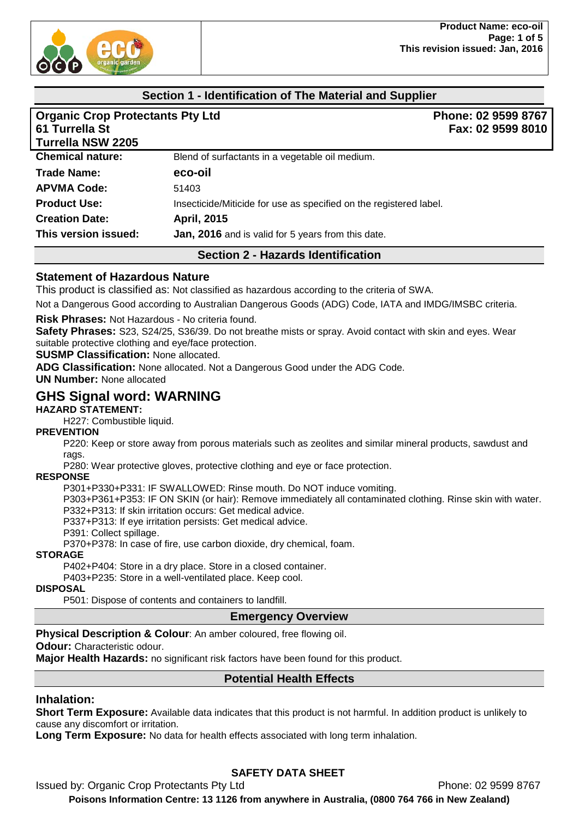

## **Section 1 - Identification of The Material and Supplier**

| <b>Organic Crop Protectants Pty Ltd</b><br>61 Turrella St<br><b>Turrella NSW 2205</b> |                                                                    | Phone: 02 9599 8767<br>Fax: 02 9599 8010 |
|---------------------------------------------------------------------------------------|--------------------------------------------------------------------|------------------------------------------|
| <b>Chemical nature:</b>                                                               | Blend of surfactants in a vegetable oil medium.                    |                                          |
| <b>Trade Name:</b>                                                                    | eco-oil                                                            |                                          |
| <b>APVMA Code:</b>                                                                    | 51403                                                              |                                          |
| <b>Product Use:</b>                                                                   | Insecticide/Miticide for use as specified on the registered label. |                                          |
| <b>Creation Date:</b>                                                                 | April, 2015                                                        |                                          |
| This version issued:                                                                  | Jan, 2016 and is valid for 5 years from this date.                 |                                          |

## **Section 2 - Hazards Identification**

## **Statement of Hazardous Nature**

This product is classified as: Not classified as hazardous according to the criteria of SWA.

Not a Dangerous Good according to Australian Dangerous Goods (ADG) Code, IATA and IMDG/IMSBC criteria.

**Risk Phrases:** Not Hazardous - No criteria found.

**Safety Phrases:** S23, S24/25, S36/39. Do not breathe mists or spray. Avoid contact with skin and eyes. Wear suitable protective clothing and eye/face protection.

**SUSMP Classification:** None allocated.

**ADG Classification:** None allocated. Not a Dangerous Good under the ADG Code.

**UN Number:** None allocated

# **GHS Signal word: WARNING**

**HAZARD STATEMENT:**

H227: Combustible liquid.

## **PREVENTION**

P220: Keep or store away from porous materials such as zeolites and similar mineral products, sawdust and rags.

P280: Wear protective gloves, protective clothing and eye or face protection.

#### **RESPONSE**

P301+P330+P331: IF SWALLOWED: Rinse mouth. Do NOT induce vomiting.

P303+P361+P353: IF ON SKIN (or hair): Remove immediately all contaminated clothing. Rinse skin with water. P332+P313: If skin irritation occurs: Get medical advice.

P337+P313: If eye irritation persists: Get medical advice.

P391: Collect spillage.

P370+P378: In case of fire, use carbon dioxide, dry chemical, foam.

#### **STORAGE**

P402+P404: Store in a dry place. Store in a closed container.

P403+P235: Store in a well-ventilated place. Keep cool.

#### **DISPOSAL**

P501: Dispose of contents and containers to landfill.

## **Emergency Overview**

**Physical Description & Colour**: An amber coloured, free flowing oil.

#### **Odour: Characteristic odour.**

**Major Health Hazards:** no significant risk factors have been found for this product.

## **Potential Health Effects**

## **Inhalation:**

**Short Term Exposure:** Available data indicates that this product is not harmful. In addition product is unlikely to cause any discomfort or irritation.

**Long Term Exposure:** No data for health effects associated with long term inhalation.

# **SAFETY DATA SHEET**

Issued by: Organic Crop Protectants Pty Ltd **Phone: 02 9599 8767**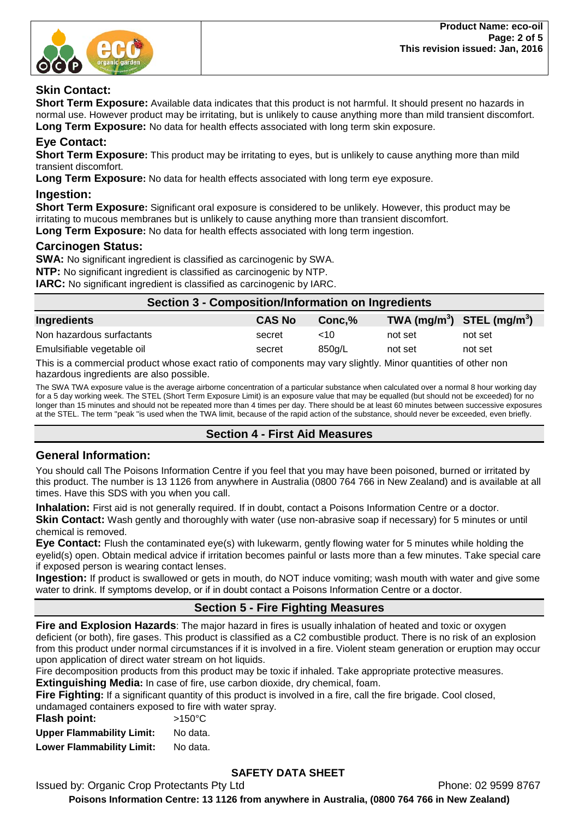

## **Skin Contact:**

**Short Term Exposure:** Available data indicates that this product is not harmful. It should present no hazards in normal use. However product may be irritating, but is unlikely to cause anything more than mild transient discomfort. **Long Term Exposure:** No data for health effects associated with long term skin exposure.

## **Eye Contact:**

**Short Term Exposure:** This product may be irritating to eyes, but is unlikely to cause anything more than mild transient discomfort.

**Long Term Exposure:** No data for health effects associated with long term eye exposure.

#### **Ingestion:**

**Short Term Exposure:** Significant oral exposure is considered to be unlikely. However, this product may be irritating to mucous membranes but is unlikely to cause anything more than transient discomfort. **Long Term Exposure:** No data for health effects associated with long term ingestion.

## **Carcinogen Status:**

**SWA:** No significant ingredient is classified as carcinogenic by SWA. **NTP:** No significant ingredient is classified as carcinogenic by NTP.

**IARC:** No significant ingredient is classified as carcinogenic by IARC.

| Section 3 - Composition/Information on Ingredients |               |         |                                                    |         |
|----------------------------------------------------|---------------|---------|----------------------------------------------------|---------|
| Ingredients                                        | <b>CAS No</b> | Conc.%  | TWA (mg/m <sup>3</sup> ) STEL (mg/m <sup>3</sup> ) |         |
| Non hazardous surfactants                          | secret        | $~<$ 10 | not set                                            | not set |
| Emulsifiable vegetable oil                         | secret        | 850g/L  | not set                                            | not set |

This is a commercial product whose exact ratio of components may vary slightly. Minor quantities of other non hazardous ingredients are also possible.

The SWA TWA exposure value is the average airborne concentration of a particular substance when calculated over a normal 8 hour working day for a 5 day working week. The STEL (Short Term Exposure Limit) is an exposure value that may be equalled (but should not be exceeded) for no longer than 15 minutes and should not be repeated more than 4 times per day. There should be at least 60 minutes between successive exposures at the STEL. The term "peak "is used when the TWA limit, because of the rapid action of the substance, should never be exceeded, even briefly.

## **Section 4 - First Aid Measures**

## **General Information:**

You should call The Poisons Information Centre if you feel that you may have been poisoned, burned or irritated by this product. The number is 13 1126 from anywhere in Australia (0800 764 766 in New Zealand) and is available at all times. Have this SDS with you when you call.

**Inhalation:** First aid is not generally required. If in doubt, contact a Poisons Information Centre or a doctor.

**Skin Contact:** Wash gently and thoroughly with water (use non-abrasive soap if necessary) for 5 minutes or until chemical is removed.

**Eye Contact:** Flush the contaminated eye(s) with lukewarm, gently flowing water for 5 minutes while holding the eyelid(s) open. Obtain medical advice if irritation becomes painful or lasts more than a few minutes. Take special care if exposed person is wearing contact lenses.

**Ingestion:** If product is swallowed or gets in mouth, do NOT induce vomiting; wash mouth with water and give some water to drink. If symptoms develop, or if in doubt contact a Poisons Information Centre or a doctor.

## **Section 5 - Fire Fighting Measures**

**Fire and Explosion Hazards**: The major hazard in fires is usually inhalation of heated and toxic or oxygen deficient (or both), fire gases. This product is classified as a C2 combustible product. There is no risk of an explosion from this product under normal circumstances if it is involved in a fire. Violent steam generation or eruption may occur upon application of direct water stream on hot liquids.

Fire decomposition products from this product may be toxic if inhaled. Take appropriate protective measures.

**Extinguishing Media:** In case of fire, use carbon dioxide, dry chemical, foam.

**Fire Fighting:** If a significant quantity of this product is involved in a fire, call the fire brigade. Cool closed,

undamaged containers exposed to fire with water spray.

| Flash point:                     | $>150^{\circ}$ C |
|----------------------------------|------------------|
| <b>Upper Flammability Limit:</b> | No data.         |
| <b>Lower Flammability Limit:</b> | No data.         |

# **SAFETY DATA SHEET**

Issued by: Organic Crop Protectants Pty Ltd **Phone: 02 9599 8767**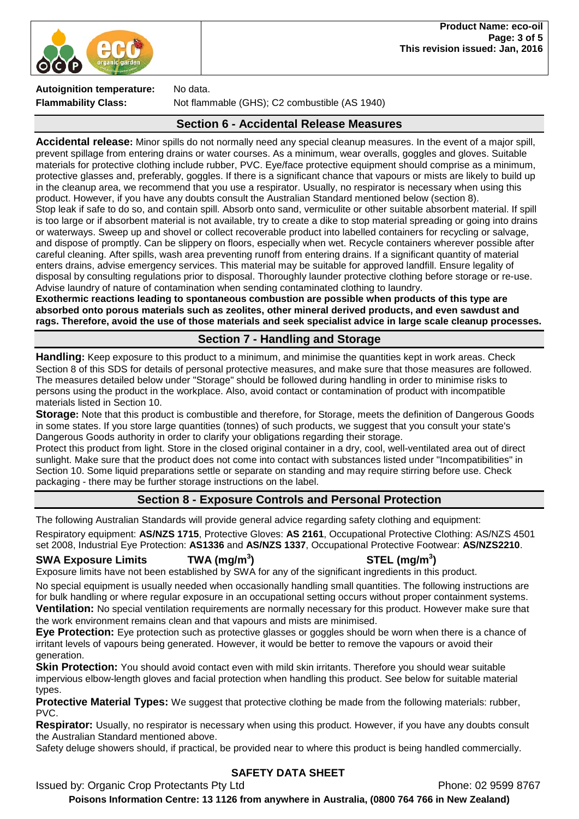

**Autoignition temperature:** No data.

**Flammability Class:** Not flammable (GHS); C2 combustible (AS 1940)

## **Section 6 - Accidental Release Measures**

**Accidental release:** Minor spills do not normally need any special cleanup measures. In the event of a major spill, prevent spillage from entering drains or water courses. As a minimum, wear overalls, goggles and gloves. Suitable materials for protective clothing include rubber, PVC. Eye/face protective equipment should comprise as a minimum, protective glasses and, preferably, goggles. If there is a significant chance that vapours or mists are likely to build up in the cleanup area, we recommend that you use a respirator. Usually, no respirator is necessary when using this product. However, if you have any doubts consult the Australian Standard mentioned below (section 8). Stop leak if safe to do so, and contain spill. Absorb onto sand, vermiculite or other suitable absorbent material. If spill is too large or if absorbent material is not available, try to create a dike to stop material spreading or going into drains or waterways. Sweep up and shovel or collect recoverable product into labelled containers for recycling or salvage, and dispose of promptly. Can be slippery on floors, especially when wet. Recycle containers wherever possible after careful cleaning. After spills, wash area preventing runoff from entering drains. If a significant quantity of material enters drains, advise emergency services. This material may be suitable for approved landfill. Ensure legality of disposal by consulting regulations prior to disposal. Thoroughly launder protective clothing before storage or re-use. Advise laundry of nature of contamination when sending contaminated clothing to laundry.

**Exothermic reactions leading to spontaneous combustion are possible when products of this type are absorbed onto porous materials such as zeolites, other mineral derived products, and even sawdust and rags. Therefore, avoid the use of those materials and seek specialist advice in large scale cleanup processes.** 

## **Section 7 - Handling and Storage**

**Handling:** Keep exposure to this product to a minimum, and minimise the quantities kept in work areas. Check Section 8 of this SDS for details of personal protective measures, and make sure that those measures are followed. The measures detailed below under "Storage" should be followed during handling in order to minimise risks to persons using the product in the workplace. Also, avoid contact or contamination of product with incompatible materials listed in Section 10.

**Storage:** Note that this product is combustible and therefore, for Storage, meets the definition of Dangerous Goods in some states. If you store large quantities (tonnes) of such products, we suggest that you consult your state's Dangerous Goods authority in order to clarify your obligations regarding their storage.

Protect this product from light. Store in the closed original container in a dry, cool, well-ventilated area out of direct sunlight. Make sure that the product does not come into contact with substances listed under "Incompatibilities" in Section 10. Some liquid preparations settle or separate on standing and may require stirring before use. Check packaging - there may be further storage instructions on the label.

## **Section 8 - Exposure Controls and Personal Protection**

The following Australian Standards will provide general advice regarding safety clothing and equipment:

Respiratory equipment: **AS/NZS 1715**, Protective Gloves: **AS 2161**, Occupational Protective Clothing: AS/NZS 4501 set 2008, Industrial Eye Protection: **AS1336** and **AS/NZS 1337**, Occupational Protective Footwear: **AS/NZS2210**.

## **SWA Exposure Limits TWA (mg/m<sup>3</sup>**

**) STEL (mg/m<sup>3</sup> )**

Exposure limits have not been established by SWA for any of the significant ingredients in this product.

No special equipment is usually needed when occasionally handling small quantities. The following instructions are for bulk handling or where regular exposure in an occupational setting occurs without proper containment systems. **Ventilation:** No special ventilation requirements are normally necessary for this product. However make sure that the work environment remains clean and that vapours and mists are minimised.

**Eye Protection:** Eye protection such as protective glasses or goggles should be worn when there is a chance of irritant levels of vapours being generated. However, it would be better to remove the vapours or avoid their generation.

**Skin Protection:** You should avoid contact even with mild skin irritants. Therefore you should wear suitable impervious elbow-length gloves and facial protection when handling this product. See below for suitable material types.

**Protective Material Types:** We suggest that protective clothing be made from the following materials: rubber, PVC.

**Respirator:** Usually, no respirator is necessary when using this product. However, if you have any doubts consult the Australian Standard mentioned above.

Safety deluge showers should, if practical, be provided near to where this product is being handled commercially.

# **SAFETY DATA SHEET**

Issued by: Organic Crop Protectants Pty Ltd **Phone: 02 9599 8767**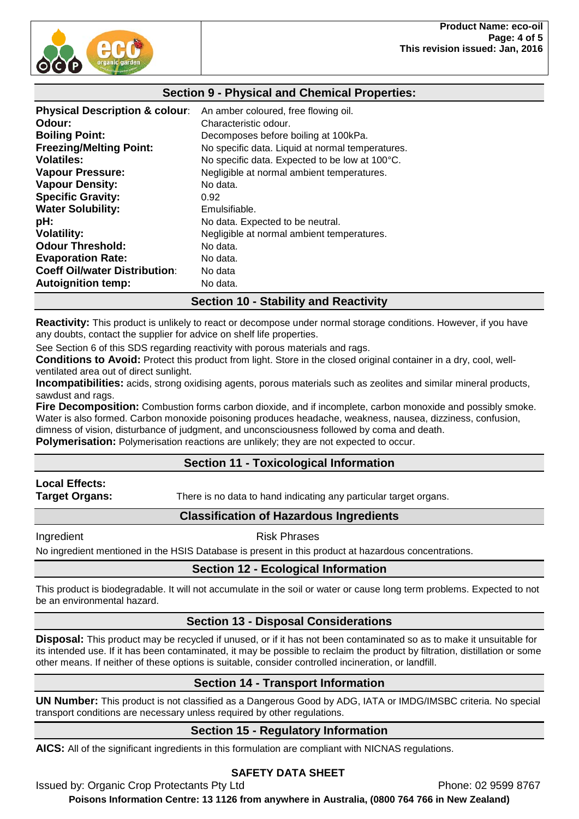

## **Section 9 - Physical and Chemical Properties:**

| <b>Physical Description &amp; colour:</b> | An amber coloured, free flowing oil.             |
|-------------------------------------------|--------------------------------------------------|
| Odour:                                    | Characteristic odour.                            |
| <b>Boiling Point:</b>                     | Decomposes before boiling at 100kPa.             |
| <b>Freezing/Melting Point:</b>            | No specific data. Liquid at normal temperatures. |
| <b>Volatiles:</b>                         | No specific data. Expected to be low at 100°C.   |
| <b>Vapour Pressure:</b>                   | Negligible at normal ambient temperatures.       |
| <b>Vapour Density:</b>                    | No data.                                         |
| <b>Specific Gravity:</b>                  | 0.92                                             |
| <b>Water Solubility:</b>                  | Emulsifiable.                                    |
| pH:                                       | No data. Expected to be neutral.                 |
| <b>Volatility:</b>                        | Negligible at normal ambient temperatures.       |
| <b>Odour Threshold:</b>                   | No data.                                         |
| <b>Evaporation Rate:</b>                  | No data.                                         |
| <b>Coeff Oil/water Distribution:</b>      | No data                                          |
| <b>Autoignition temp:</b>                 | No data.                                         |

## **Section 10 - Stability and Reactivity**

**Reactivity:** This product is unlikely to react or decompose under normal storage conditions. However, if you have any doubts, contact the supplier for advice on shelf life properties.

See Section 6 of this SDS regarding reactivity with porous materials and rags.

**Conditions to Avoid:** Protect this product from light. Store in the closed original container in a dry, cool, wellventilated area out of direct sunlight.

**Incompatibilities:** acids, strong oxidising agents, porous materials such as zeolites and similar mineral products, sawdust and rags.

**Fire Decomposition:** Combustion forms carbon dioxide, and if incomplete, carbon monoxide and possibly smoke. Water is also formed. Carbon monoxide poisoning produces headache, weakness, nausea, dizziness, confusion, dimness of vision, disturbance of judgment, and unconsciousness followed by coma and death.

**Polymerisation:** Polymerisation reactions are unlikely; they are not expected to occur.

## **Section 11 - Toxicological Information**

# **Local Effects:**

**Target Organs:** There is no data to hand indicating any particular target organs.

## **Classification of Hazardous Ingredients**

Ingredient **Risk Phrases** 

No ingredient mentioned in the HSIS Database is present in this product at hazardous concentrations.

## **Section 12 - Ecological Information**

This product is biodegradable. It will not accumulate in the soil or water or cause long term problems. Expected to not be an environmental hazard.

## **Section 13 - Disposal Considerations**

**Disposal:** This product may be recycled if unused, or if it has not been contaminated so as to make it unsuitable for its intended use. If it has been contaminated, it may be possible to reclaim the product by filtration, distillation or some other means. If neither of these options is suitable, consider controlled incineration, or landfill.

## **Section 14 - Transport Information**

**UN Number:** This product is not classified as a Dangerous Good by ADG, IATA or IMDG/IMSBC criteria. No special transport conditions are necessary unless required by other regulations.

## **Section 15 - Regulatory Information**

**AICS:** All of the significant ingredients in this formulation are compliant with NICNAS regulations.

## **SAFETY DATA SHEET**

Issued by: Organic Crop Protectants Pty Ltd **Phone: 02 9599 8767**